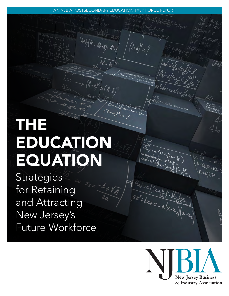#### AN NJBIA POSTSECONDARY EDUCATION TASK FORCE REPORT

 $\frac{1}{4}$   $\frac{1}{4}$   $\frac{1}{4}$   $\frac{1}{4}$   $\frac{1}{4}$   $\frac{1}{4}$   $\frac{1}{4}$   $\frac{1}{4}$   $\frac{1}{4}$   $\frac{1}{4}$   $\frac{1}{4}$   $\frac{1}{4}$   $\frac{1}{4}$   $\frac{1}{4}$   $\frac{1}{4}$   $\frac{1}{4}$   $\frac{1}{4}$   $\frac{1}{4}$   $\frac{1}{4}$   $\frac{1}{4}$   $\frac{1}{4}$   $\frac{1}{4}$ 

 $(A+8)(A^2 - A^2 + B^2) = A^2 + B^2$ 

# THE EDUCATION EQUATION

**Strategies** for Retaining and Attracting New Jersey's Future Workforce

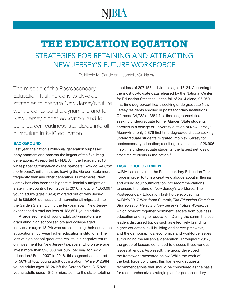## VBIA

### **THE EDUCATION EQUATION** STRATEGIES FOR RETAINING AND ATTRACTING NEW JERSEY'S FUTURE WORKFORCE

By Nicole M. Sandelier I [nsandelier@njbia.org](mailto:nsandelier@njbia.org)

The mission of the Postsecondary Education Task Force is to develop strategies to prepare New Jersey's future workforce, to build a dynamic brand for New Jersey higher education, and to build career readiness standards into all curriculum in K-16 education.

#### **BACKGROUND**

Last year, the nation's millennial generation surpassed baby boomers and became the largest of the five living generations. As reported by NJBIA in the February 2016 white paper *Outmigration by the Numbers: How do we Stop the Exodus?*, millennials are leaving the Garden State more frequently than any other generation. Furthermore, New Jersey has also been the highest millennial outmigration state in the country. From 2007 to 2016, a total of 1,050,097 young adults (ages 18-34) migrated out of New Jersey while 866,506 (domestic and international) migrated into the Garden State.<sup>1</sup> During the ten-year span, New Jersey experienced a total net loss of 183,591 young adults.

A large segment of young adult out-migrators are graduating high school seniors and college-aged individuals (ages 18-24) who are continuing their education at traditional four-year higher education institutions. The loss of high school graduates results in a negative return on investment for New Jersey taxpayers, who on average invest more than \$20,000 per pupil per year for K-12 education.<sup>2</sup> From 2007 to 2016, this segment accounted for 58% of total young adult outmigration.<sup>3</sup> While 612,984 young adults ages 18-24 left the Garden State, 315,826 young adults (ages 18-24) migrated into the state, totaling

a net loss of 297,158 individuals ages 18-24. According to the most up-to-date data released by the National Center for Education Statistics, in the fall of 2014 alone, 96,050 first time degree/certificate seeking undergraduate New Jersey residents enrolled in postsecondary institutions. Of these, 34,782 or 36% first time degree/certificate seeking undergraduate former Garden State students enrolled in a college or university outside of New Jersey.<sup>4</sup> Meanwhile, only 5,876 first time degree/certificate seeking undergraduate students migrated into New Jersey for postsecondary education; resulting, in a net loss of 28,906 first-time undergraduate students, the largest net loss of first-time students in the nation. $5$ 

#### TASK FORCE OVERVIEW

NJBIA has convened the Postsecondary Education Task Force in order to turn a creative dialogue about millennial and young adult outmigration into recommendations to ensure the future of New Jersey's workforce. The Postsecondary Education Task Force evolved from NJBIA's 2017 Workforce Summit, *The Education Equation: Strategies for Retaining New Jersey's Future Workforce*, which brought together prominent leaders from business, education and higher education. During the summit, these leaders discussed topics such as effectively branding higher education, skill building and career pathways, and the demographics, economics and workforce issues surrounding the millennial generation. Throughout 2017, the group of leaders continued to discuss these various issues at length. As a result, the group developed the framework presented below. While the work of the task force continues, this framework suggests recommendations that should be considered as the basis for a comprehensive strategic plan for postsecondary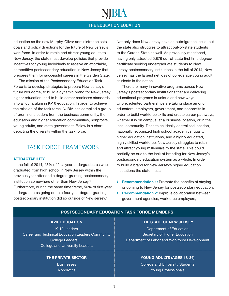ŊВIA

education as the new Murphy-Oliver administration sets goals and policy directions for the future of New Jersey's workforce. In order to retain and attract young adults to New Jersey, the state must develop policies that provide incentives for young individuals to receive an affordable, competitive postsecondary education in New Jersey that prepares them for successful careers in the Garden State.

The mission of the Postsecondary Education Task Force is to develop strategies to prepare New Jersey's future workforce, to build a dynamic brand for New Jersey higher education, and to build career readiness standards into all curriculum in K-16 education. In order to achieve the mission of the task force, NJBIA has compiled a group of prominent leaders from the business community, the education and higher education communities, nonprofits, young adults, and state government. Below is a chart depicting the diversity within the task force.

#### TASK FORCE FRAMEWORK

#### **ATTRACTABILITY**

In the fall of 2014, 43% of first-year undergraduates who graduated from high school in New Jersey within the previous year attended a degree-granting postsecondary institution somewhere other than New Jersey.6 Furthermore, during the same time frame, 56% of first-year undergraduates going on to a four-year degree-granting postsecondary institution did so outside of New Jersey.7

Not only does New Jersey have an outmigration issue, but the state also struggles to attract out-of-state students to the Garden State as well. As previously mentioned, having only attracted 5,876 out-of-state first time degree/ certificate seeking undergraduate students to New Jersey postsecondary institutions in the fall of 2014, New Jersey has the largest net loss of college age young adult students in the nation.

There are many innovative programs across New Jersey's postsecondary institutions that are delivering educational programs in unique and new ways. Unprecedented partnerships are taking place among educators, employers, government, and nonprofits in order to build workforce skills and create career pathways, whether it is on campus, at a business location, or in the local community. Despite an ideally centralized location, nationally recognized high school academics, quality higher education institutions, and a highly educated, highly skilled workforce, New Jersey struggles to retain and attract young millennials to the state. This could partially be due to the lack of branding for New Jersey's postsecondary education system as a whole. In order to build a brand for New Jersey's higher education institutions the state must:

- › Recommendation 1: Promote the benefits of staying or coming to New Jersey for postsecondary education.
- › Recommendation 2: Improve collaboration between government agencies, workforce employers,

#### POSTSECONDARY EDUCATION TASK FORCE MEMBERS

#### K-16 EDUCATION

K-12 Leaders Career and Technical Education Leaders Community College Leaders College and University Leaders

#### THE PRIVATE SECTOR

**Businesses Nonprofits** 

#### THE STATE OF NEW JERSEY

Department of Education Secretary of Higher Education Department of Labor and Workforce Development

#### YOUNG ADULTS (AGES 18-34)

College and University Students Young Professionals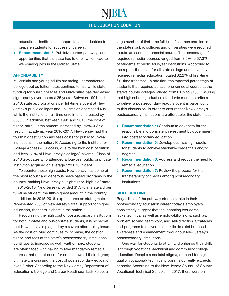NIBIA

educational institutions, nonprofits, and industries to prepare students for successful careers.

> Recommendation 3: Publicize career pathways and opportunities that the state has to offer, which lead to well-paying jobs in the Garden State.

#### **AFFORDABILITY**

Millennials and young adults are facing unprecedented college debt as tuition rates continue to rise while state funding for public colleges and universities has decreased significantly over the past 25 years. Between 1991 and 2016, state appropriations per full-time student at New Jersey's public colleges and universities decreased 40% while the institutions' full-time enrollment increased by 63%.8 In addition, between 1991 and 2016, the cost of tuition per full-time student increased by 142%.9 As a result, in academic year 2016-2017, New Jersey had the fourth highest tuition and fees costs for public four-year institutions in the nation.10 According to the Institute for College Access & Success, due to the high cost of tuition and fees, 61% of New Jersey's college/university Class of 2016 graduates who attended a four-year public or private institution acquired on average \$29,878 in debt.

To counter these high costs, New Jersey has some of the most robust and generous need-based programs in the country, making New Jersey a "high tuition-high aid" state. In 2015-2016, New Jersey provided \$1,370 in state aid per full-time student, the fifth-highest amount in the country.<sup>11</sup> In addition, in 2015-2016, expenditures on state grants represented 20% of New Jersey's total support for higher education, the tenth-highest in the nation.12

Recognizing the high cost of postsecondary institutions for both in-state and out-of-state students, it is no secret that New Jersey is plagued by a severe affordability issue. As the cost of living continues to increase, the cost of tuition and fees at the state's postsecondary institutions continues to increase as well. Furthermore, students are often faced with having to take mandatory remedial courses that do not count for credits toward their degree; ultimately, increasing the cost of postsecondary education even further. According to the New Jersey Department of Education's College and Career Readiness Task Force, a

large number of first-time full-time freshmen enrolled in the state's public colleges and universities were required to take at least one remedial course. The percentage of required remedial courses ranged from 3.5% to 67.3% of students at public four-year institutions. According to the report, the mean for all state college and universityrequired remedial education totaled 32.2% of first-time full-time freshmen. In addition, the reported percentage of students that required at least one remedial course at the state's county colleges ranged from 61% to 91%. Ensuring that high school graduation standards meet the criteria to deliver a postsecondary ready student is paramount to this discussion. In order to ensure that New Jersey's postsecondary institutions are affordable, the state must:

- › Recommendation 4: Continue to advocate for the responsible and consistent investment by government into postsecondary education.
- **> Recommendation 5:** Develop cost-saving models for students to achieve stackable credentials and/or degrees.
- › Recommendation 6: Address and reduce the need for remedial education.
- › Recommendation 7: Review the process for the transferability of credits among postsecondary institutions.

#### SKILL BUILDING

Regardless of the pathway students take in their postsecondary education career, today's employers consistently suggest that the incoming workforce lacks technical as well as employability skills; such as, problem solving, teamwork, and self-direction. Strategies and programs to deliver these skills do exist but need awareness and enhancement throughout New Jersey's postsecondary institutions.

One way for students to attain and enhance their skills is through vocational-technical and community college education. Despite a societal stigma, demand for highquality vocational- technical programs currently exceeds capacity. According to the New Jersey Council of County Vocational-Technical Schools, in 2017, there were on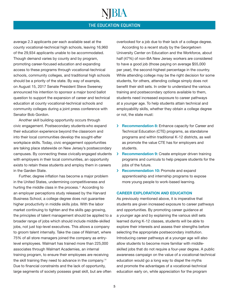NJBIA

average 2.3 applicants per each available seat at the county vocational-technical high schools, leaving 16,960 of the 29,934 applicants unable to be accommodated. Though demand varies by county and by program, promoting career-focused education and expanding access to these programs through vocational-technical schools, community colleges, and traditional high schools should be a priority of the state. By way of example, on August 15, 2017 Senate President Steve Sweeney announced his intention to sponsor a major bond ballot question to support the expansion of career and technical education at county vocational-technical schools and community colleges during a joint press conference with Senator Bob Gordon.

Another skill building opportunity occurs through civic engagement. Postsecondary studentswho expand their education experience beyond the classroom and into their local communities develop the sought-after workplace skills. Today, civic engagement opportunities are taking place statewide on New Jersey's postsecondary campuses. By connecting these civically engaged students with employers in their local communities, an opportunity exists to retain these students and employ them in careers in the Garden State.

Further, degree inflation has become a major problem in the United States, undermining competitiveness and hurting the middle class in the process.<sup>13</sup> According to an employer perceptions study released by the Harvard Business School, a college degree does not guarantee higher productivity in middle skills jobs. With the labor market continuing to tighten and the skills gap growing, the principles of talent management should be applied to a broader range of jobs which should include middle-skilled jobs, not just top-level executives. This allows a company to groom talent internally. Take the case of Walmart, where 75% of all store managers joined the company as entrylevel employees. Walmart has trained more than 225,000 associates through Walmart Academies, an internal training program, to ensure their employees are receiving the skill training they need to advance in the company.<sup>14</sup> Due to financial constraints and the lack of opportunity, large segments of society possess great skill, but are often

overlooked for a job due to their lack of a college degree.

According to a recent study by the Georgetown University Center on Education and the Workforce, about half (47%) of non-BA New Jersey workers are considered to have a good job (those paying on average \$55,000 per year), the second-highest percentage in the country. While attending college may be the right decision for some students, for others, attending college simply does not benefit their skill sets. In order to understand the various training and postsecondary options available to them, students need increased exposure to career pathways at a younger age. To help students attain technical and employability skills, whether they obtain a college degree or not, the state must:

- **> Recommendation 8:** Enhance capacity for Career and Technical Education (CTE) programs, as standalone programs and within traditional K-12 districts, as well as promote the value CTE has for employers and students.
- › Recommendation 9: Create employer driven training programs and curricula to help prepare students for the jobs of the future.
- › Recommendation 10: Promote and expand apprenticeship and internship programs to expose more young people to work-based learning.

#### CAREER EXPLORATION AND EDUCATION

As previously mentioned above, it is imperative that students are given increased exposure to career pathways and opportunities. By promoting career guidance at a younger age and by explaining the various skill sets learned during K-12 classes, students will be able to explore their interests and assess their strengths before selecting the appropriate postsecondary institution. Introducing career pathways at a younger age will also allow students to become more familiar with middleskilled jobs that do not require a four-year degree. A public awareness campaign on the value of a vocational-technical education would go a long way to dispel the myths and promote the advantages of a vocational-technical education early on, while appreciation for the program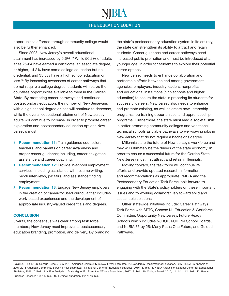NBIA

opportunities afforded through community college would also be further enhanced.

Since 2008, New Jersey's overall educational attainment has increased by 5.6%.15 While 50.2% of adults ages 25-64 have earned a certificate, an associate degree, or higher, 14.2% have some college education but no credential, and 35.5% have a high school education or less.16 By increasing awareness of career pathways that do not require a college degree, students will realize the countless opportunities available to them in the Garden State. By promoting career pathways and continued postsecondary education, the number of New Jerseyans with a high school degree or less will continue to decrease, while the overall educational attainment of New Jersey adults will continue to increase. In order to promote career exploration and postsecondary education options New Jersey's must:

- › Recommendation 11: Train guidance counselors, teachers, and parents on career awareness and proper career guidance; including, career navigation assistance and career coaching.
- › Recommendation 12: Provide in-school employment services; including assistance with resume writing, mock interviews, job fairs, and assistance finding employment.
- › Recommendation 13: Engage New Jersey employers in the creation of career-focused curricula that includes work-based experiences and the development of appropriate industry-valued credentials and degrees.

#### **CONCLUSION**

Overall, the consensus was clear among task force members; New Jersey must improve its postsecondary education branding, promotion, and delivery. By branding

the state's postsecondary education system in its entirety, the state can strengthen its ability to attract and retain students. Career guidance and career pathways need increased public promotion and must be introduced at a younger age, in order for students to explore their potential career options.

New Jersey needs to enhance collaboration and partnership efforts between and among government agencies, employers, industry leaders, nonprofits, and educational institutions (high schools and higher education) to ensure the state is preparing its students for successful careers. New Jersey also needs to enhance and promote existing, as well as create new, internship programs, job training opportunities, and apprenticeship programs. Furthermore, the state must lead a societal shift in better promoting community colleges and vocationaltechnical schools as viable pathways to well-paying jobs in New Jersey that do not require a bachelor's degree.

Millennials are the future of New Jersey's workforce and they will ultimately be the drivers of the state economy. In order to ensure a successful future for the Garden State, New Jersey must first attract and retain millennials.

Moving forward, the task force will continue its efforts and provide updated research, information, and recommendations as appropriate. NJBIA and the Postsecondary Education Task Force look forward to engaging with the State's policyholders on these important issues and to working collaboratively toward solid and sustainable solutions.

Other statewide initiatives include: Career Pathways Task Force with SETC, Choose NJ Education & Workforce Committee, Opportunity New Jersey, Future Ready Schools which includes NJDOE, NJIT, NJ School Boards, and NJBIA,65 by 25: Many Paths One Future, and Guided Pathways.

FOOTNOTES: 1. U.S. Census Bureau, 2007-2016 American Community Survey 1-Year Estimates; 2. New Jersey Department of Education, 2017; 3. NJBIA Analysis of 2007-2016 American Community Survey 1-Year Estimates; 4. National Center for Education Statistics, 2016; 5. Ibid.; 6. NJBIA Analysis of National Center for Educational Statistics, 2016; 7. Ibid.; 8. NJBIA Analysis of State Higher Ed. Executive Officers Association, 2017; 9. Ibid.; 10. College Board, 2017; 11. Ibid.; 12. Ibid.; 13. Harvard Business School, 2017; 14. Ibid.; 15. Lumina Foundation, 2017; 16 Ibid.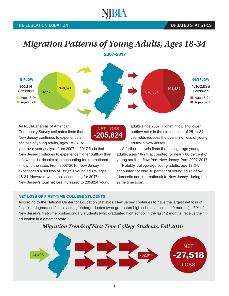### VBIA

### *Migration Patterns of Young Adults, Ages 18-34*

2007-2017



-205,824 NET LOSS

An NJBIA analysis of American Community Survey estimates finds that New Jersey continues to experience a net loss of young adults, ages 18-34. A

year-over-year analysis from 2007 to 2017 finds that New Jersey continues to experience higher outflow than inflow trends, despite also accounting for international inflow to the state. From 2007-2016, New Jersey experienced a net loss of 183,591 young adults, ages 18-34. However, when also accounting for 2017 data, New Jersey's total net loss increased to 205,824 young

#### outflow rates in the older subset of 25-to-34 year-olds reduces the overall net loss of young adults in New Jersey. A further analysis finds that college-age young

adults, ages 18-24, accounted for nearly 60 percent of young adult outflow from New Jersey, from 2007-2017.

adults since 2007. Higher inflow and lower

Notably, college-age young adults, age 18-24, accounted for only 36 percent of young adult inflow (domestic and international) to New Jersey, during the same time span.

#### NET LOSS OF FIRST-TIME COLLEGE STUDENTS

According to the National Center for Education Statistics, New Jersey continues to have the largest net loss of first-time degree/certificate seeking undergraduates (who graduated high school in the last 12 months). 43% of New Jersey's first-time postsecondary students (who graduated high school in the last 12 months) receive their education in a different state.



#### *Migration Trends of First-Time College Students, Fall 2016*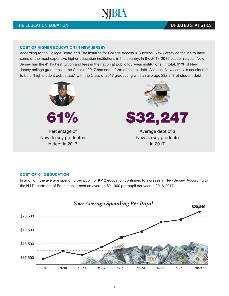#### **UPDATED STATISTICS**

#### COST OF HIGHER EDUCATION IN NEW JERSEY

According to the College Board and The Institute for College Access & Success, New Jersey continues to have some of the most expensive higher education institutions in the country. In the 2018-2019 academic year, New Jersey has the 4th highest tuition and fees in the nation at public four-year institutions. In total, 61% of New Jersey college graduates in the Class of 2017 had some form of school debt. As such, New Jersey is considered to be a "high student debt state," with the Class of 2017 graduating with an average \$32,247 of student debt.





Percentage of New Jersey graduates in debt in 2017



Average debt of a New Jersey graduate in 2017

#### COST OF K-12 EDUCATION

In addition, the average spending per pupil for K-12 education continues to increase in New Jersey. According to the NJ Department of Education, it cost an average \$21,000 per pupil per year in 2016-2017.

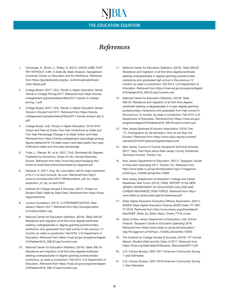#### *References*

- 1. Carnevale, A., Strohl, J., Ridley, N. (2017). *GOOD JOBS THAT PAY WITHOUT A BA: A State-By-State Analysis*. Georgetown University Center on Education and the Workforce. Retrieved from [https://goodjobsdata.org/wp-](https://goodjobsdata.org/wp-content/uploads/Good-Jobs-States.pdf) [content/uploads/Good-](https://goodjobsdata.org/wp-content/uploads/Good-Jobs-States.pdf)[Jobs-States.pdf](https://goodjobsdata.org/wp-content/uploads/Good-Jobs-States.pdf)
- 2. College Board. (2017, Oct). *Trends in Higher Education Series: Trends in College Pricing 2017*. Retrieved from [https://trends.](https://trends.collegeboard.org/sites/default/files/2017-trends-in-college-pricing_1.pdf) [collegeboard.org/sites/default/files/2017-trends-in-college](https://trends.collegeboard.org/sites/default/files/2017-trends-in-college-pricing_1.pdf)[pricing\\_1.pdf](https://trends.collegeboard.org/sites/default/files/2017-trends-in-college-pricing_1.pdf)
- 3. College Board. (2017, Oct). *Trends in Higher Education Series: Trends in Student Aid 2017*. Retrieved from [https://trends.](https://trends.collegeboard.org/sites/default/files/2017-trends-student-aid_0.pdf) [collegeboard.org/sites/default/files/2017-trends-student-aid\\_0.](https://trends.collegeboard.org/sites/default/files/2017-trends-student-aid_0.pdf) [pdf](https://trends.collegeboard.org/sites/default/files/2017-trends-student-aid_0.pdf)
- 4. College Board. (nd). *Trends in Higher Education: 2018-2019 Tuition and Fees at Public Four-Year Institutions by State and Five-Year Percentage Change in In-State Tuition and Fees.*  Retrieved from https://trends.collegeboard.org/college-pricing/ figures-tables/2018-19-state-tuition-and-fees-public-four-yearinstitutions-state-and-five-year-percentage
- 5. Fuller, J., Raman, M., et al. (2017, Oct). *Dismissed By Degrees.*  Published by Accenture, Grads of Life, Harvard Business School. Retrieved from [http://www.hbs.edu/managing-the](http://www.hbs.edu/managing-the-future-of-work/Documents/dismissed-by-degrees.pdf)[future-of-work/Documents/dismissed-by-degrees.pdf](http://www.hbs.edu/managing-the-future-of-work/Documents/dismissed-by-degrees.pdf)
- 6. Heyboer, K. (2017, Aug 16). *Lawmakers call for major expansion of N.J.'s vo-tech schools.* NJ.com. Retrieved from [http://](http://www.nj.com/education/2017/08/lawmakers_call_for_major_expansion_of_njs_vo-tech.html) [www.nj.com/education/2017/08/lawmakers\\_call\\_for\\_major\\_](http://www.nj.com/education/2017/08/lawmakers_call_for_major_expansion_of_njs_vo-tech.html) [expansion\\_of\\_njs\\_vo-tech.html](http://www.nj.com/education/2017/08/lawmakers_call_for_major_expansion_of_njs_vo-tech.html)
- 7. Institute for College Access & Success. (2017). *Project on Student Debt: State by State Data.* Retrieved from [https://ticas.](https://ticas.org/posd/home) [org/posd/home](https://ticas.org/posd/home)
- 8. Lumina Foundation. (2017). *A STRONGER NATION: New Jersey's Report 2017.* Retrieved from [http://strongernation.](http://strongernation.luminafoundation.org/) [luminafoundation.org](http://strongernation.luminafoundation.org/)
- 9. National Center for Education Statistics. (2018). *Table 309.20. Residence and migration of all first-time degree/certificateseeking undergraduates in degree-granting postsecondary institutions who graduated from high school in the previous 12 months, by state or jurisdiction: Fall 2016.* U.S Department of Education. Retrieved from https://nces.ed.gov/programs/digest/ d16/tables/dt16\_309.20.asp?current=yes
- 10. National Center for Education Statistics. (2016). *Table 309.10. Residence and migration of all first-time degree/certificateseeking undergraduates in degree-granting postsecondary institutions, by state or jurisdiction: Fall 2014.* U.S Department of Education. Retrieved from [https://nces.ed.gov/programs/digest/](https://nces.ed.gov/programs/digest/d16/tables/dt16_309.10.asp?current=yes) [d16/tables/dt16\\_309.10.asp?current=yes](https://nces.ed.gov/programs/digest/d16/tables/dt16_309.10.asp?current=yes)
- 11. National Center for Education Statistics. (2016). *Table 309.20. Residence and migration of all first-time degree/certificate seeking undergraduates in degree-granting postsecondary institutions who graduated high school in the previous 12 months, by state or jurisdiction: Fall 2014.* U.S Department of Education. Retrieved from [https://nces.ed.gov/programs/digest/](https://nces.ed.gov/programs/digest/d16/tables/dt16_309.20.asp?current=yes) [d16/tables/dt16\\_309.20.asp?current=yes](https://nces.ed.gov/programs/digest/d16/tables/dt16_309.20.asp?current=yes)
- 12. National Center for Education Statistics. (2016). *Table 309.30. Residence and migration of all first-time degree/ certificate-seeking undergraduates in 4-year degree-granting postsecondary institutions who graduated from high school in the previous 12 months, by state or jurisdiction: Fall 2014.* U.S Department of Education. Retrieved from [https://nces.ed.gov/](https://nces.ed.gov/programs/digest/d16/tables/dt16_309.30.asp?current=yes) [programs/digest/d16/tables/dt16\\_309.30.asp?current=yes](https://nces.ed.gov/programs/digest/d16/tables/dt16_309.30.asp?current=yes)
- 13. New Jersey Business & Industry Association. (2016, Feb 11). *Outmigration by the Numbers: How do we Stop the Exodus?* Retrieved from [https://www.njbia.org/wp-content/](https://www.njbia.org/wp-content/uploads/2016/05/njbiaoutmigrationreport.pdf) [uploads/2016/05/njbiaoutmigrationreport.pdf](https://www.njbia.org/wp-content/uploads/2016/05/njbiaoutmigrationreport.pdf)
- 14. New Jersey Council of County Vocational-Technical Schools. (2017, Dec). *Fast Facts about New Jersey County Vocational-Technical Schools.* Trenton, NJ.
- 15. New Jersey Department of Education. (2017). *Taxpayers' Guide to Education Spending 2017.* Trenton, NJ. Retrieved from [http://www.state.nj.us/cgi-bin/education/csg/17/csggrsum.](http://www.state.nj.us/cgi-bin/education/csg/17/csggrsum.pl?string=L.%20ALL&maxhits=10000) [pl?string=L.%20ALL&maxhits=10000](http://www.state.nj.us/cgi-bin/education/csg/17/csggrsum.pl?string=L.%20ALL&maxhits=10000)
- 16. New Jersey Department of Education: College and Career Readiness Task Force. (2012). *FINAL REPORT of the NEW JERSEY DEPARTMENT OF EDUCATION COLLEGE AND CAREER READINESS TASK FORCE.* Retrieved from [http://](http://www.state.nj.us/education/genfo/readiness.pdf) [www.state.nj.us/education/genfo/readiness.pdf](http://www.state.nj.us/education/genfo/readiness.pdf)
- 17. State Higher Education Executive Officers Association. (2017). *SHEEO State Higher Education Finance (SHEF) Date: FY 1991- FY 2016.* Retrieved from [http://www.sheeo.org/sites/default/](http://www.sheeo.org/sites/default/files/SHEF_State_by_State_Wave_Charts_FY16_0.xlsx) [files/SHEF\\_State\\_by\\_State\\_Wave\\_Charts\\_FY16\\_0.xlsx](http://www.sheeo.org/sites/default/files/SHEF_State_by_State_Wave_Charts_FY16_0.xlsx)
- 18. State of New Jersey Department of Education. (nd). *School Finance: Taxpayer's Guide to Education Spending 2018.*  Retrieved from https://www.state.nj.us/cgi-bin/education/ csg/18/csggrsum.pl?string=L.%20ALL&maxhits=10000
- 19. The Institute for College Access & Success. (2018). *13th Annual Report: Student Debt and the Class of 2017.* Retrieved from https://ticas.org/sites/default/files/pub\_files/classof2017.pdf
- 20. U.S. Census Bureau, 2007-2017 American Community Survey 1-year Estimates
- 21. U.S. Census Bureau, 2007-2016 American Community Survey 1-Year Estimates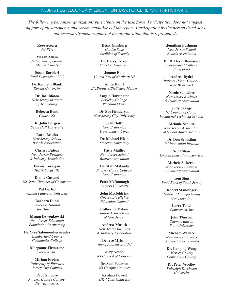#### NJBIA'S POSTSECONDARY EDUCATION TASK FORCE REPORT PARTICIPANTS

*The following persons/organizations participate on the task force. Participation does not suggest support of all statements and recommendations of the report. Participation by the person listed does not necessarily mean support of the organization that is represented.*

**Rose Acerra** *NJ PTA*

**Megan Allain** *United Way of Greater Mercer County*

**Susan Barbieri** *Total Suspension, LLC*

**Dr. Kenneth Blank** *Rowan University*

**Dr. Joel Bloom** *New Jersey Institute of Technology* 

> **Rebecca Bond** *Choose NJ*

**Dr. John Borgese** *Seton Hall University*

**Lucia Brooks** *New Jersey School Boards Association*

**Chrissy Buteas** *New Jersey Business & Industry Association* 

> **Bernie Corrigan** *IBEW Local 102*

**Donna Custard** *NJ State Chamber of Commerce*

**Pat DeDeo** *William Patterson University*

> **Barbara Dunn** *Paterson Habitat for Humanity*

**Megan Dzwonkowski** *New Jersey Education Foundation Partnership*

**Dr. Yves Salomon-Fernandez** *Cumberland County Community College*

> **Morganne Firmstone** *JerseyCAN*

**Miriam Frolow** *University of Phoenix, Jersey City Campus*

**Paul Gilmore** *Rutgers Honors College-New Brunswick*

**Betsy Ginsburg** *Garden State Coalition of Schools*

**Dr. Darryl Greer** *Stockton University*

**Joanne Hala** *United Way of Northern NJ*

**Anita Hanft** *BigBrothers/BigSisters Mercer*

> **Angela Harrington** *Berkeley College, Woodland Park*

**Dr. Sue Henderson** *New Jersey City University*

> **Jean Holtz** *New Brunswick Development Corp.*

> **Dr. Michael Klein** *Stockton University*

**Patty Maillet** *New Jersey School Boards Association* 

**Dr. Matt Matsuda** *Rutgers Honor College-New Brunswick*

> **Peter McDonough** *Rutgers University*

**John McGoldrick** *Governor's Higher Education Council*

**Catherine Milone** *Junior Achievement of New Jersey*

**Andrew Musick** *New Jersey Business & Industry Association*

**Denyce Mylson** *Young Audiences of NJ*

**Larry Nespoli** *NJ Council of Colleges*

**Dr. Saul Peterson** *NJ Campus Connect*

**Krishna Powell** *HR 4 Your Small Biz* **Jonathan Pushman** *New Jersey School Boards Association* 

**Dr. R. David Rousseau** *Independent College Fund of NJ*

**Andrea Rydel** *Rutgers Honor College-New Brunswick*

**Nicole Sandelier** *New Jersey Business & Industry Association*

**Judy Savage** *NJ Council of County Vocational Technical Schools*

**Melanie Schultz** *New Jersey Association of School Administrators*

**Dr. Don Sebastian** *NJ Innovation Institute* 

**Scott Shaw** *Lincoln Educational Services*

> **Michele Siekerka** *New Jersey Business & Industry Association*

**Tom Sims** *Food Bank of South Jersey*

**Robert Staudinger** *National Manufacturing Company, Inc*

> **Larry Taitel** *Convertech, Inc*

**John Thurber** *Thomas Edison State University*

**Michael Wallace** *New Jersey Business & Industry Association*

**Dr. Jianping Wang** *Mercer County Community College*

**Dr. Peter Woolley** *Fairleigh Dickinson University*